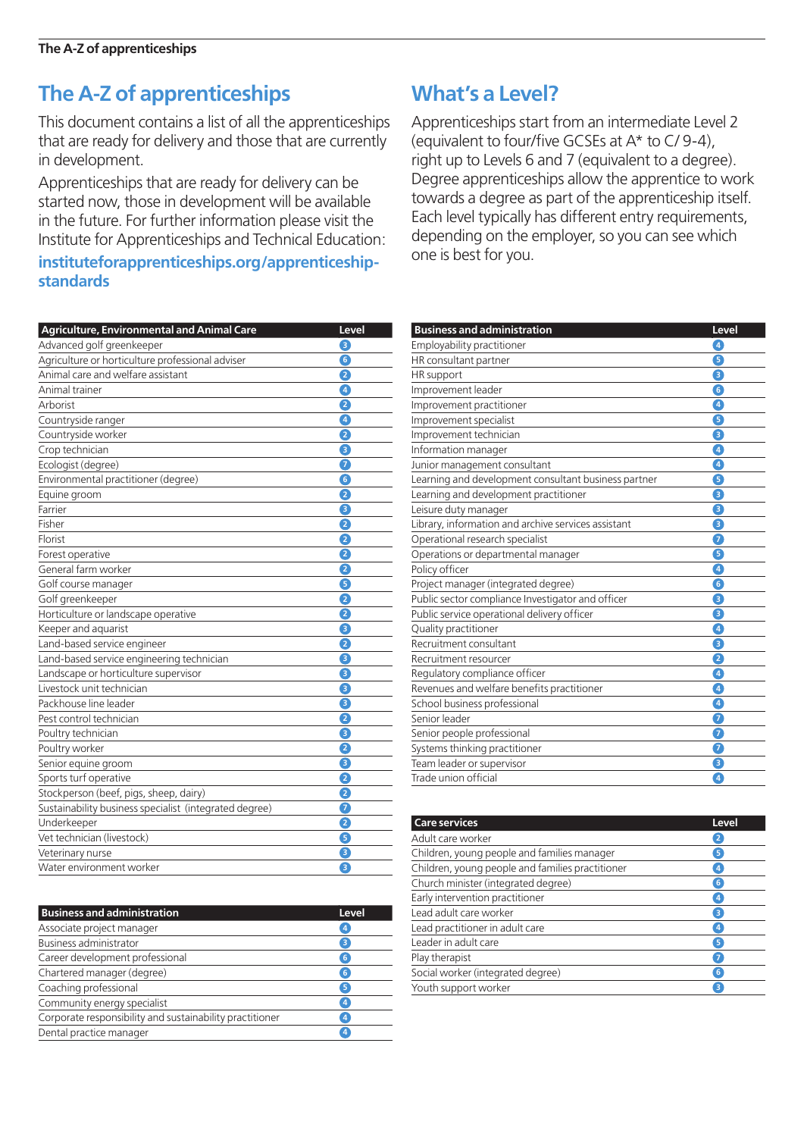This document contains a list of all the apprenticeships that are ready for delivery and those that are currently in development.

Apprenticeships that are ready for delivery can be started now, those in development will be available in the future. For further information please visit the Institute for Apprenticeships and Technical Education:

#### **instituteforapprenticeships.org/apprenticeshipstandards**

| <b>Agriculture, Environmental and Animal Care</b>      | Level                   |
|--------------------------------------------------------|-------------------------|
| Advanced golf greenkeeper                              | з                       |
| Agriculture or horticulture professional adviser       | 6                       |
| Animal care and welfare assistant                      | 2                       |
| Animal trainer                                         | $\overline{4}$          |
| Arborist                                               | 2                       |
| Countryside ranger                                     | $\sqrt{4}$              |
| Countryside worker                                     | 2                       |
| Crop technician                                        | З                       |
| Ecologist (degree)                                     | 7                       |
| Environmental practitioner (degree)                    | $\overline{6}$          |
| Equine groom                                           | 2                       |
| Farrier                                                | З                       |
| Fisher                                                 | 2                       |
| Florist                                                | 2                       |
| Forest operative                                       | 2                       |
| General farm worker                                    | 2                       |
| Golf course manager                                    | G                       |
| Golf greenkeeper                                       | 2                       |
| Horticulture or landscape operative                    | 2                       |
| Keeper and aquarist                                    | 3                       |
| Land-based service engineer                            | 2                       |
| Land-based service engineering technician              | 3                       |
| Landscape or horticulture supervisor                   | 8                       |
| Livestock unit technician                              | 3                       |
| Packhouse line leader                                  | 8                       |
| Pest control technician                                | 2                       |
| Poultry technician                                     | 8                       |
| Poultry worker                                         | 2                       |
| Senior equine groom                                    | 8                       |
| Sports turf operative                                  | 2                       |
| Stockperson (beef, pigs, sheep, dairy)                 | $\overline{\mathbf{2}}$ |
| Sustainability business specialist (integrated degree) | 7                       |
| Underkeeper                                            | 2                       |
| Vet technician (livestock)                             | 6                       |
| Veterinary nurse                                       | Θ                       |
| Water environment worker                               | 8                       |

| Business and administration                              | Level |
|----------------------------------------------------------|-------|
| Associate project manager                                | 4     |
| Business administrator                                   | 3     |
| Career development professional                          | 6     |
| Chartered manager (degree)                               | 6     |
| Coaching professional                                    | 5     |
| Community energy specialist                              | 4     |
| Corporate responsibility and sustainability practitioner | 4     |
| Dental practice manager                                  | 4     |
|                                                          |       |

## **What's a Level?**

Apprenticeships start from an intermediate Level 2 (equivalent to four/five GCSEs at A\* to C/ 9-4), right up to Levels 6 and 7 (equivalent to a degree). Degree apprenticeships allow the apprentice to work towards a degree as part of the apprenticeship itself. Each level typically has different entry requirements, depending on the employer, so you can see which one is best for you.

| <b>Business and administration</b>                   | Level          |
|------------------------------------------------------|----------------|
| Employability practitioner                           | O              |
| HR consultant partner                                | G              |
| HR support                                           | 0              |
| Improvement leader                                   | G              |
| Improvement practitioner                             | $\overline{4}$ |
| Improvement specialist                               | 6              |
| Improvement technician                               | 8              |
| Information manager                                  | 0              |
| Junior management consultant                         | 0              |
| Learning and development consultant business partner | 6              |
| Learning and development practitioner                | Θ              |
| Leisure duty manager                                 | 6              |
| Library, information and archive services assistant  | €              |
| Operational research specialist                      | 0              |
| Operations or departmental manager                   | 6              |
| Policy officer                                       | 4              |
| Project manager (integrated degree)                  | G              |
| Public sector compliance Investigator and officer    | €              |
| Public service operational delivery officer          | €              |
| Quality practitioner                                 | Ø              |
| Recruitment consultant                               | €              |
| Recruitment resourcer                                | 2              |
| Regulatory compliance officer                        | $\bullet$      |
| Revenues and welfare benefits practitioner           | A              |
| School business professional                         | 0              |
| Senior leader                                        | 6              |
| Senior people professional                           | 7              |
| Systems thinking practitioner                        | 0              |
| Team leader or supervisor                            | €              |
| Trade union official                                 | $\bullet$      |
|                                                      |                |

| <b>Care services</b>                             | Level           |
|--------------------------------------------------|-----------------|
| Adult care worker                                | $\mathbf{2}$    |
| Children, young people and families manager      | 5               |
| Children, young people and families practitioner | $\overline{4}$  |
| Church minister (integrated degree)              | $6\phantom{1}6$ |
| Early intervention practitioner                  | 4               |
| Lead adult care worker                           | 3               |
| Lead practitioner in adult care                  | $\overline{4}$  |
| Leader in adult care                             | 5               |
| Play therapist                                   | 7               |
| Social worker (integrated degree)                | 6               |
| Youth support worker                             | 3               |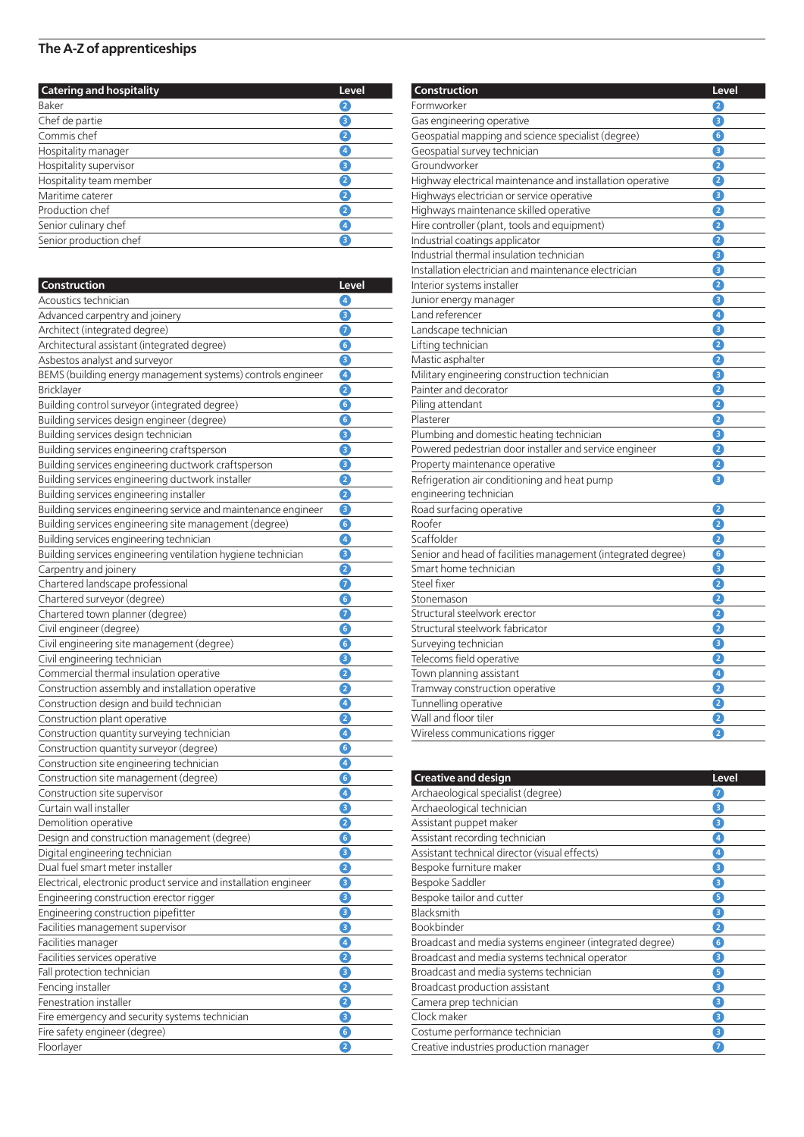| <b>Catering and hospitality</b> | Level          |
|---------------------------------|----------------|
| Baker                           | $\overline{2}$ |
| Chef de partie                  | 3              |
| Commis chef                     | 2              |
| Hospitality manager             | 4              |
| Hospitality supervisor          | 3              |
| Hospitality team member         | 2              |
| Maritime caterer                | $\overline{2}$ |
| Production chef                 | $\mathbf{2}$   |
| Senior culinary chef            | 4              |
| Senior production chef          | 3              |

| Construction                                                     | Level                                                    |
|------------------------------------------------------------------|----------------------------------------------------------|
| Acoustics technician                                             | $\left[ \begin{smallmatrix} 4 \end{smallmatrix} \right]$ |
| Advanced carpentry and joinery                                   | 6                                                        |
| Architect (integrated degree)                                    | 7                                                        |
| Architectural assistant (integrated degree)                      | 6                                                        |
| Asbestos analyst and surveyor                                    | 6                                                        |
| BEMS (building energy management systems) controls engineer      | $\boldsymbol{A}$                                         |
| <b>Bricklayer</b>                                                | 2                                                        |
| Building control surveyor (integrated degree)                    | G                                                        |
| Building services design engineer (degree)                       | 6                                                        |
| Building services design technician                              | з                                                        |
| Building services engineering craftsperson                       | 8                                                        |
| Building services engineering ductwork craftsperson              | 6                                                        |
| Building services engineering ductwork installer                 | 2                                                        |
| Building services engineering installer                          | $\mathbf e$                                              |
| Building services engineering service and maintenance engineer   | 8                                                        |
| Building services engineering site management (degree)           | 6                                                        |
| Building services engineering technician                         | $\bullet$                                                |
| Building services engineering ventilation hygiene technician     | 3                                                        |
| Carpentry and joinery                                            | 2                                                        |
| Chartered landscape professional                                 | $\bullet$                                                |
| Chartered surveyor (degree)                                      | G                                                        |
| Chartered town planner (degree)                                  | 7                                                        |
| Civil engineer (degree)                                          | 6                                                        |
| Civil engineering site management (degree)                       | G                                                        |
| Civil engineering technician                                     | 3                                                        |
| Commercial thermal insulation operative                          | 2                                                        |
| Construction assembly and installation operative                 | Q                                                        |
| Construction design and build technician                         | $\bullet$                                                |
| Construction plant operative                                     | 2                                                        |
| Construction quantity surveying technician                       | Ø                                                        |
| Construction quantity surveyor (degree)                          | 6                                                        |
| Construction site engineering technician                         | $\left  \bm{A} \right $                                  |
| Construction site management (degree)                            | G                                                        |
| Construction site supervisor                                     | 4                                                        |
| Curtain wall installer                                           | З                                                        |
| Demolition operative                                             | 2                                                        |
| Design and construction management (degree)                      | 6                                                        |
| Digital engineering technician                                   | 3                                                        |
| Dual fuel smart meter installer                                  | Q                                                        |
| Electrical, electronic product service and installation engineer | €                                                        |
| Engineering construction erector rigger                          | €                                                        |
| Engineering construction pipefitter                              | €                                                        |
| Facilities management supervisor                                 | €                                                        |
| Facilities manager                                               | ❹                                                        |
| Facilities services operative                                    | 0                                                        |
| Fall protection technician                                       | €                                                        |
| Fencing installer                                                | 0                                                        |
| Fenestration installer                                           | 0                                                        |
| Fire emergency and security systems technician                   | €                                                        |
| Fire safety engineer (degree)                                    | $\bullet$                                                |
| Floorlayer                                                       | 2                                                        |

| Construction                                                 | Level |
|--------------------------------------------------------------|-------|
| Formworker                                                   | 2     |
| Gas engineering operative                                    | 8     |
| Geospatial mapping and science specialist (degree)           | G     |
| Geospatial survey technician                                 | 8     |
| Groundworker                                                 | 2     |
| Highway electrical maintenance and installation operative    | 2     |
| Highways electrician or service operative                    | 6     |
| Highways maintenance skilled operative                       | 2     |
| Hire controller (plant, tools and equipment)                 | 2     |
| Industrial coatings applicator                               | 2     |
| Industrial thermal insulation technician                     | 8     |
| Installation electrician and maintenance electrician         | 8     |
| Interior systems installer                                   | 2     |
| Junior energy manager                                        | 8     |
| Land referencer                                              | A     |
| Landscape technician                                         | 8     |
| Lifting technician                                           | 2     |
| Mastic asphalter                                             | 2     |
| Military engineering construction technician                 | 6     |
| Painter and decorator                                        | 2     |
| Piling attendant                                             | Q     |
| Plasterer                                                    | 2     |
| Plumbing and domestic heating technician                     | 8     |
| Powered pedestrian door installer and service engineer       | 2     |
| Property maintenance operative                               | 2     |
| Refrigeration air conditioning and heat pump                 | 8     |
| engineering technician                                       |       |
| Road surfacing operative                                     | 2     |
| Roofer                                                       | 2     |
| Scaffolder                                                   | 2     |
| Senior and head of facilities management (integrated degree) | G     |
| Smart home technician                                        | 6     |
| Steel fixer                                                  | 2     |
| Stonemason                                                   | 2     |
| Structural steelwork erector                                 | 2     |
| Structural steelwork fabricator                              | 2     |
| Surveying technician                                         | 8     |
| Telecoms field operative                                     | 2     |
| Town planning assistant                                      | Ø     |
| Tramway construction operative                               | 2     |
| Tunnelling operative                                         | 2     |
| Wall and floor tiler                                         | 2     |
| Wireless communications rigger                               | 2     |

| <b>Creative and design</b>                               | Level                        |
|----------------------------------------------------------|------------------------------|
| Archaeological specialist (degree)                       | 7                            |
| Archaeological technician                                | $\left\lceil 3 \right\rceil$ |
| Assistant puppet maker                                   | З                            |
| Assistant recording technician                           | $\overline{4}$               |
| Assistant technical director (visual effects)            | $\overline{4}$               |
| Bespoke furniture maker                                  | 3                            |
| Bespoke Saddler                                          | 3                            |
| Bespoke tailor and cutter                                | 5                            |
| Blacksmith                                               | З                            |
| Bookbinder                                               | $\mathbf{Z}$                 |
| Broadcast and media systems engineer (integrated degree) | $6^{\circ}$                  |
| Broadcast and media systems technical operator           | 3                            |
| Broadcast and media systems technician                   | 5                            |
| Broadcast production assistant                           | 3                            |
| Camera prep technician                                   | 3                            |
| Clock maker                                              | $\mathbf{B}$                 |
| Costume performance technician                           | З                            |
| Creative industries production manager                   | $\overline{7}$               |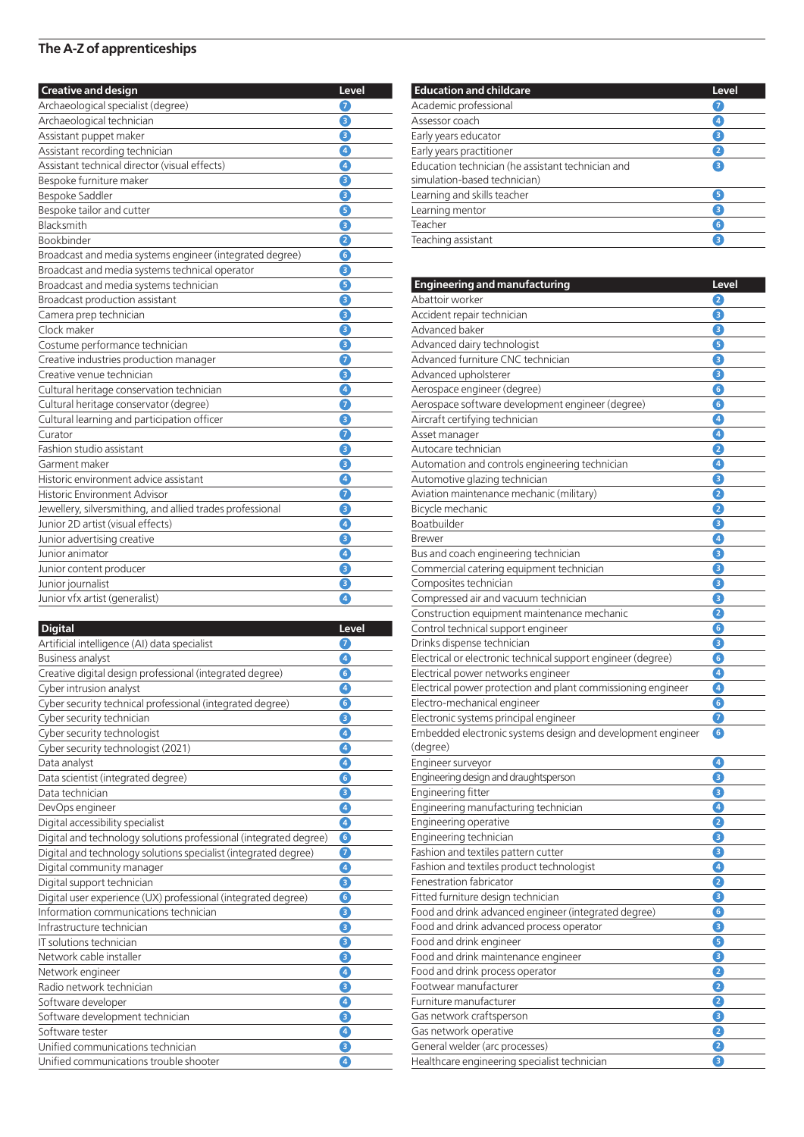| <b>Creative and design</b>                                | Level     |
|-----------------------------------------------------------|-----------|
| Archaeological specialist (degree)                        | 6         |
| Archaeological technician                                 | 8         |
| Assistant puppet maker                                    | 3         |
| Assistant recording technician                            | 0         |
| Assistant technical director (visual effects)             | $\bullet$ |
| Bespoke furniture maker                                   | 8         |
| Bespoke Saddler                                           | 6         |
| Bespoke tailor and cutter                                 | ❺         |
| Blacksmith                                                | €         |
| <b>Bookbinder</b>                                         | 2         |
| Broadcast and media systems engineer (integrated degree)  | G         |
| Broadcast and media systems technical operator            | 6         |
| Broadcast and media systems technician                    | 6         |
| Broadcast production assistant                            | 8         |
| Camera prep technician                                    | 6         |
| Clock maker                                               | €         |
| Costume performance technician                            | 8         |
| Creative industries production manager                    | 0         |
| Creative venue technician                                 | 6         |
| Cultural heritage conservation technician                 | 0         |
| Cultural heritage conservator (degree)                    | 7         |
| Cultural learning and participation officer               | 8         |
| Curator                                                   | 0         |
| <b>Fashion studio assistant</b>                           | €         |
| Garment maker                                             | 6         |
| Historic environment advice assistant                     | $\bullet$ |
| <b>Historic Environment Advisor</b>                       | 0         |
| Jewellery, silversmithing, and allied trades professional | 8         |
| Junior 2D artist (visual effects)                         | 4         |
| Junior advertising creative                               | 8         |
| Junior animator                                           | 4         |
| Junior content producer                                   | €         |
| Junior journalist                                         | 8         |
| Junior vfx artist (generalist)                            | $\bullet$ |

| <b>Digital</b>                                                    | Level              |
|-------------------------------------------------------------------|--------------------|
| Artificial intelligence (AI) data specialist                      | 7                  |
| <b>Business analyst</b>                                           | $\overline{4}$     |
| Creative digital design professional (integrated degree)          | $\left[ 6\right]$  |
| Cyber intrusion analyst                                           | $\boxed{4}$        |
| Cyber security technical professional (integrated degree)         | 6                  |
| Cyber security technician                                         | ß                  |
| Cyber security technologist                                       | 4                  |
| Cyber security technologist (2021)                                | $\bullet$          |
| Data analyst                                                      | $\left[ 4 \right]$ |
| Data scientist (integrated degree)                                | $\epsilon$         |
| Data technician                                                   | 3                  |
| DevOps engineer                                                   | $\boxed{4}$        |
| Digital accessibility specialist                                  | $\boxed{4}$        |
| Digital and technology solutions professional (integrated degree) | 6                  |
| Digital and technology solutions specialist (integrated degree)   | 7                  |
| Digital community manager                                         | 4                  |
| Digital support technician                                        | Θ                  |
| Digital user experience (UX) professional (integrated degree)     | 6                  |
| Information communications technician                             | 3                  |
| Infrastructure technician                                         | 8                  |
| IT solutions technician                                           | 3                  |
| Network cable installer                                           | 8                  |
| Network engineer                                                  | $\boxed{4}$        |
| Radio network technician                                          | 3                  |
| Software developer                                                | $\left[ 4 \right]$ |
| Software development technician                                   | Θ                  |
| Software tester                                                   | 4                  |
| Unified communications technician                                 | 3                  |
| Unified communications trouble shooter                            | $\boxed{4}$        |

| <b>Education and childcare</b>                                                    | Level          |
|-----------------------------------------------------------------------------------|----------------|
| Academic professional                                                             |                |
| Assessor coach                                                                    | $\overline{4}$ |
| Early years educator                                                              | 3              |
| Early years practitioner                                                          | $\overline{2}$ |
| Education technician (he assistant technician and<br>simulation-based technician) | 3              |
| Learning and skills teacher                                                       | 5              |
| Learning mentor                                                                   | 3              |
| Teacher                                                                           | 6              |
| Teaching assistant                                                                | 3              |

 $\overline{\phantom{a}}$ 

| <b>Engineering and manufacturing</b>                         | Level          |
|--------------------------------------------------------------|----------------|
| Abattoir worker                                              | 2              |
| Accident repair technician                                   | Θ              |
| Advanced baker                                               | 6              |
| Advanced dairy technologist                                  | 6              |
| Advanced furniture CNC technician                            | G              |
| Advanced upholsterer                                         | Θ              |
| Aerospace engineer (degree)                                  | G              |
| Aerospace software development engineer (degree)             | G              |
| Aircraft certifying technician                               | $\overline{A}$ |
| Asset manager                                                | Ø              |
| Autocare technician                                          | Q              |
| Automation and controls engineering technician               | Ø              |
| Automotive glazing technician                                | 8              |
| Aviation maintenance mechanic (military)                     | 2              |
| Bicycle mechanic                                             | 2              |
| Boatbuilder                                                  | €              |
| Brewer                                                       | $\bullet$      |
| Bus and coach engineering technician                         | €              |
| Commercial catering equipment technician                     | B              |
| Composites technician                                        | €              |
| Compressed air and vacuum technician                         | 8              |
| Construction equipment maintenance mechanic                  | 2              |
| Control technical support engineer                           | G              |
| Drinks dispense technician                                   | 8              |
| Electrical or electronic technical support engineer (degree) | G              |
| Electrical power networks engineer                           | Ø              |
| Electrical power protection and plant commissioning engineer | Œ              |
| Electro-mechanical engineer                                  | G              |
| Electronic systems principal engineer                        | 0              |
| Embedded electronic systems design and development engineer  | G              |
| (degree)                                                     |                |
| Engineer surveyor                                            | Ø              |
| Engineering design and draughtsperson                        | З              |
| Engineering fitter                                           | 8              |
| Engineering manufacturing technician                         | Ø              |
| Engineering operative                                        | Q              |
| Engineering technician                                       | €              |
| Fashion and textiles pattern cutter                          | 8              |
| Fashion and textiles product technologist                    | Ø              |
| Fenestration fabricator                                      | 2.             |
| Fitted furniture design technician                           | €              |
| Food and drink advanced engineer (integrated degree)         | $\bullet$      |
| Food and drink advanced process operator                     | €              |
| Food and drink engineer                                      | 6              |
| Food and drink maintenance engineer                          | €              |
| Food and drink process operator                              | 0              |
| Footwear manufacturer                                        | 2              |
| Furniture manufacturer                                       | Ø              |
| Gas network craftsperson                                     | €              |
| Gas network operative                                        | Ø              |
| General welder (arc processes)                               | 0              |
| Healthcare engineering specialist technician                 | 6              |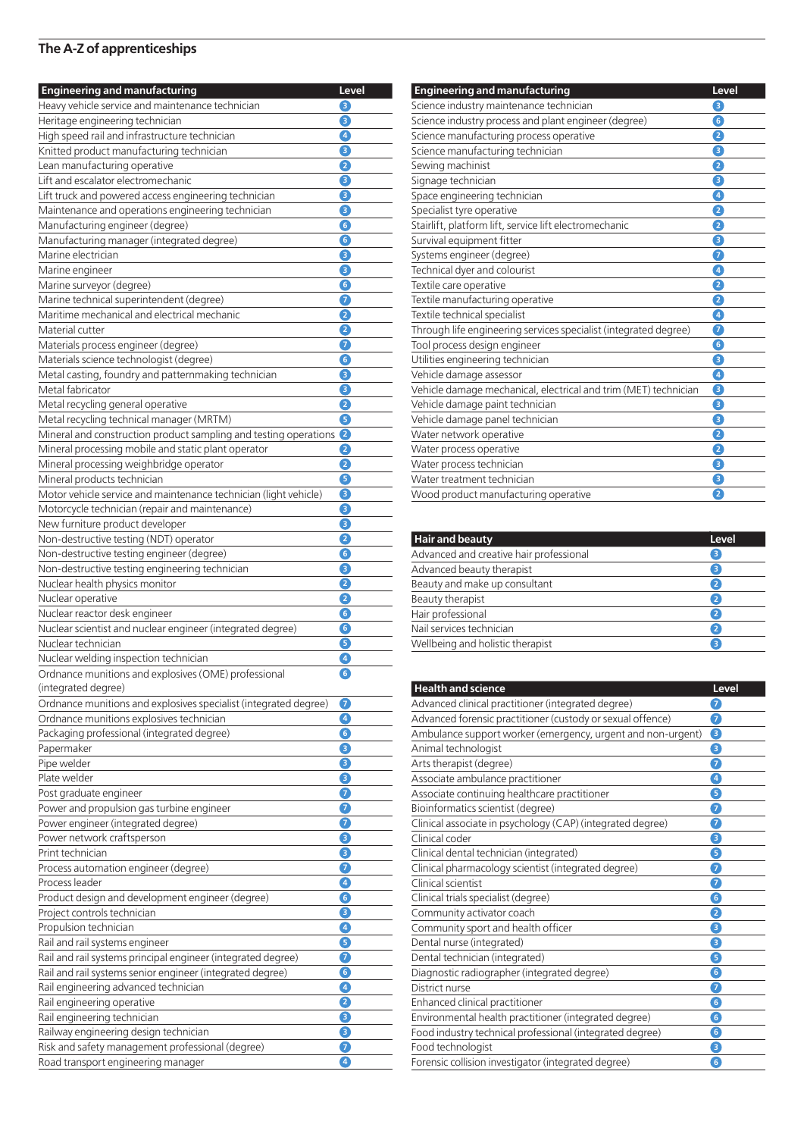| <b>Engineering and manufacturing</b>                                                                               | Level       |
|--------------------------------------------------------------------------------------------------------------------|-------------|
| Heavy vehicle service and maintenance technician                                                                   | 8           |
| Heritage engineering technician                                                                                    | З           |
| High speed rail and infrastructure technician                                                                      | $\bullet$   |
| Knitted product manufacturing technician                                                                           | 8           |
| Lean manufacturing operative                                                                                       | 2           |
| Lift and escalator electromechanic                                                                                 | 8           |
| Lift truck and powered access engineering technician                                                               | B           |
| Maintenance and operations engineering technician                                                                  | З           |
| Manufacturing engineer (degree)                                                                                    | 6           |
| Manufacturing manager (integrated degree)                                                                          | 6           |
| Marine electrician                                                                                                 | 8           |
| Marine engineer                                                                                                    | 6           |
| Marine surveyor (degree)                                                                                           | G           |
| Marine technical superintendent (degree)                                                                           | 6           |
| Maritime mechanical and electrical mechanic                                                                        | 2           |
| Material cutter                                                                                                    | 2           |
| Materials process engineer (degree)                                                                                | 7           |
| Materials science technologist (degree)                                                                            | 6           |
| Metal casting, foundry and patternmaking technician<br>Metal fabricator                                            | 6<br>6      |
|                                                                                                                    | 2           |
| Metal recycling general operative                                                                                  | 6           |
| Metal recycling technical manager (MRTM)                                                                           | $\mathbf e$ |
| Mineral and construction product sampling and testing operations                                                   | 2           |
| Mineral processing mobile and static plant operator                                                                | 2           |
| Mineral processing weighbridge operator<br>Mineral products technician                                             | G           |
|                                                                                                                    | B           |
| Motor vehicle service and maintenance technician (light vehicle)<br>Motorcycle technician (repair and maintenance) | 8           |
| New furniture product developer                                                                                    | 6           |
| Non-destructive testing (NDT) operator                                                                             | 2           |
| Non-destructive testing engineer (degree)                                                                          | G           |
| Non-destructive testing engineering technician                                                                     | €           |
| Nuclear health physics monitor                                                                                     | 2           |
| Nuclear operative                                                                                                  | 2           |
| Nuclear reactor desk engineer                                                                                      | G           |
| Nuclear scientist and nuclear engineer (integrated degree)                                                         | G           |
| Nuclear technician                                                                                                 | G           |
| Nuclear welding inspection technician                                                                              | Ø           |
| Ordnance munitions and explosives (OME) professional                                                               | G           |
| (integrated degree)                                                                                                |             |
| Ordnance munitions and explosives specialist (integrated degree)                                                   | 0           |
| Ordnance munitions explosives technician                                                                           | $\bullet$   |
| Packaging professional (integrated degree)                                                                         | 6           |
| Papermaker                                                                                                         | 8           |
| Pipe welder                                                                                                        | 6           |
| Plate welder                                                                                                       | €           |
| Post graduate engineer                                                                                             | 0           |
| Power and propulsion gas turbine engineer                                                                          | 0           |
| Power engineer (integrated degree)                                                                                 | 0           |
| Power network craftsperson                                                                                         | 6           |
| Print technician                                                                                                   | €           |
| Process automation engineer (degree)                                                                               | 0           |
| Process leader                                                                                                     | $\bullet$   |
| Product design and development engineer (degree)                                                                   | G           |
| Project controls technician                                                                                        | 8           |
| Propulsion technician                                                                                              | Ø           |
| Rail and rail systems engineer                                                                                     | 6           |
| Rail and rail systems principal engineer (integrated degree)                                                       | 0           |
| Rail and rail systems senior engineer (integrated degree)                                                          | G           |
| Rail engineering advanced technician                                                                               | Ø           |
| Rail engineering operative                                                                                         | 2           |
| Rail engineering technician                                                                                        | 8           |
| Railway engineering design technician                                                                              | €           |
| Risk and safety management professional (degree)                                                                   | 0           |
| Road transport engineering manager                                                                                 | A           |

| <b>Engineering and manufacturing</b>                             | Level |
|------------------------------------------------------------------|-------|
| Science industry maintenance technician                          | 8     |
| Science industry process and plant engineer (degree)             | 6     |
| Science manufacturing process operative                          | 0     |
| Science manufacturing technician                                 | €     |
| Sewing machinist                                                 | 2     |
| Signage technician                                               | €     |
| Space engineering technician                                     | Ø     |
| Specialist tyre operative                                        | 0     |
| Stairlift, platform lift, service lift electromechanic           | 2     |
| Survival equipment fitter                                        | €     |
| Systems engineer (degree)                                        | 0     |
| Technical dyer and colourist                                     | 4     |
| Textile care operative                                           | 2     |
| Textile manufacturing operative                                  | 0     |
| Textile technical specialist                                     | Ø     |
| Through life engineering services specialist (integrated degree) | 0     |
| Tool process design engineer                                     | 0     |
| Utilities engineering technician                                 | €     |
| Vehicle damage assessor                                          | 4     |
| Vehicle damage mechanical, electrical and trim (MET) technician  | €     |
| Vehicle damage paint technician                                  | 8     |
| Vehicle damage panel technician                                  | €     |
| Water network operative                                          | 0     |
| Water process operative                                          | 2     |
| Water process technician                                         | €     |
| Water treatment technician                                       | €     |
| Wood product manufacturing operative                             | 2     |

| <b>Hair and beauty</b>                  | Level        |
|-----------------------------------------|--------------|
| Advanced and creative hair professional | з            |
| Advanced beauty therapist               | з            |
| Beauty and make up consultant           | $\mathbf{Z}$ |
| Beauty therapist                        | $\mathbf{2}$ |
| Hair professional                       | $\mathbf{2}$ |
| Nail services technician                | $\mathbf{z}$ |
| Wellbeing and holistic therapist        | 3            |

| <b>Health and science</b>                                   | Level             |
|-------------------------------------------------------------|-------------------|
| Advanced clinical practitioner (integrated degree)          | 0                 |
| Advanced forensic practitioner (custody or sexual offence)  | 2                 |
| Ambulance support worker (emergency, urgent and non-urgent) | 8                 |
| Animal technologist                                         | €                 |
| Arts therapist (degree)                                     | 7                 |
| Associate ambulance practitioner                            | 4                 |
| Associate continuing healthcare practitioner                | 6                 |
| Bioinformatics scientist (degree)                           | 7                 |
| Clinical associate in psychology (CAP) (integrated degree)  | 0                 |
| Clinical coder                                              | €                 |
| Clinical dental technician (integrated)                     | 6                 |
| Clinical pharmacology scientist (integrated degree)         | 7                 |
| Clinical scientist                                          | 2                 |
| Clinical trials specialist (degree)                         | 6                 |
| Community activator coach                                   | 2                 |
| Community sport and health officer                          | 8                 |
| Dental nurse (integrated)                                   | 8                 |
| Dental technician (integrated)                              | 0                 |
| Diagnostic radiographer (integrated degree)                 | 6                 |
| District nurse                                              | 2                 |
| Enhanced clinical practitioner                              | $\epsilon$        |
| Environmental health practitioner (integrated degree)       | $\left[ 6\right]$ |
| Food industry technical professional (integrated degree)    | 6                 |
| Food technologist                                           | 8                 |
| Forensic collision investigator (integrated degree)         | 6                 |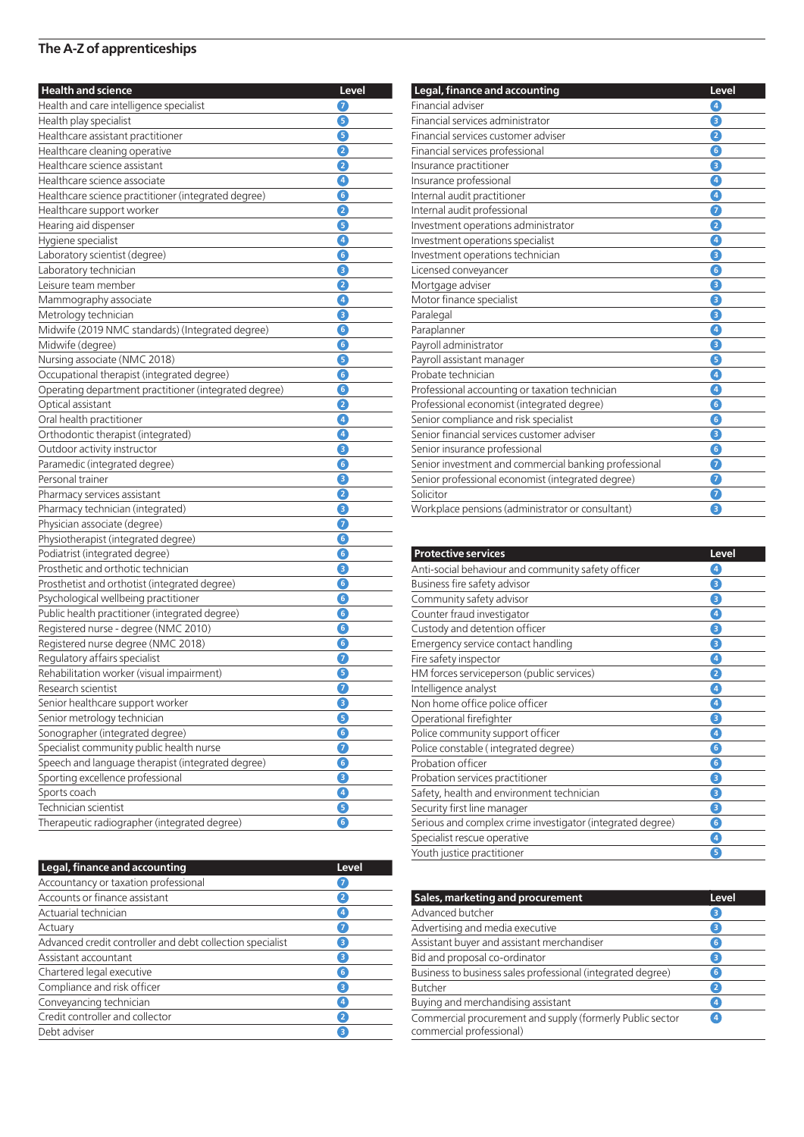| <b>Health and science</b>                             | Level     |
|-------------------------------------------------------|-----------|
| Health and care intelligence specialist               | 7         |
| Health play specialist                                | G         |
| Healthcare assistant practitioner                     | G         |
| Healthcare cleaning operative                         | 2         |
| Healthcare science assistant                          | 2         |
| Healthcare science associate                          | Ø         |
| Healthcare science practitioner (integrated degree)   | 6         |
| Healthcare support worker                             | 2         |
| Hearing aid dispenser                                 | 6         |
| Hygiene specialist                                    | O         |
| Laboratory scientist (degree)                         | 6         |
| Laboratory technician                                 | Θ         |
| Leisure team member                                   | 2         |
| Mammography associate                                 | $\bullet$ |
| Metrology technician                                  | 8         |
| Midwife (2019 NMC standards) (Integrated degree)      | G         |
| Midwife (degree)                                      | 6         |
| Nursing associate (NMC 2018)                          | G         |
| Occupational therapist (integrated degree)            | 6         |
| Operating department practitioner (integrated degree) | 6         |
| Optical assistant                                     | 2         |
| Oral health practitioner                              | $\bullet$ |
| Orthodontic therapist (integrated)                    | O         |
| Outdoor activity instructor                           | Θ         |
| Paramedic (integrated degree)                         | 6         |
| Personal trainer                                      | €         |
| Pharmacy services assistant                           | 2         |
| Pharmacy technician (integrated)                      | 6         |
| Physician associate (degree)                          | 6         |
| Physiotherapist (integrated degree)                   | G         |
| Podiatrist (integrated degree)                        | 6         |
| Prosthetic and orthotic technician                    | 6         |
| Prosthetist and orthotist (integrated degree)         | G         |
| Psychological wellbeing practitioner                  | G         |
| Public health practitioner (integrated degree)        | G         |
| Registered nurse - degree (NMC 2010)                  | G         |
| Registered nurse degree (NMC 2018)                    | 6         |
| Regulatory affairs specialist                         | 7         |
| Rehabilitation worker (visual impairment)             | G         |
| Research scientist                                    | J         |
| Senior healthcare support worker                      | €         |
| Senior metrology technician                           | ❺         |
| Sonographer (integrated degree)                       | G         |
| Specialist community public health nurse              | 0         |
| Speech and language therapist (integrated degree)     | G         |
| Sporting excellence professional                      | €         |
| Sports coach                                          | 4         |
| Technician scientist                                  | ❺         |
| Therapeutic radiographer (integrated degree)          | ❻         |

| Legal, finance and accounting                             | Level          |
|-----------------------------------------------------------|----------------|
| Accountancy or taxation professional                      | $\overline{7}$ |
| Accounts or finance assistant                             | $\overline{2}$ |
| Actuarial technician                                      | 4              |
| Actuary                                                   | $\overline{7}$ |
| Advanced credit controller and debt collection specialist | 3              |
| Assistant accountant                                      | 3              |
| Chartered legal executive                                 | 6 <sup>7</sup> |
| Compliance and risk officer                               | 3              |
| Conveyancing technician                                   | 4              |
| Credit controller and collector                           | $\overline{2}$ |
| Debt adviser                                              | 3              |

| Legal, finance and accounting                         | Level                   |
|-------------------------------------------------------|-------------------------|
| Financial adviser                                     | $\left( 4\right)$       |
| Financial services administrator                      | 8                       |
| Financial services customer adviser                   | 2                       |
| Financial services professional                       | 6                       |
| Insurance practitioner                                | Θ                       |
| Insurance professional                                | 0                       |
| Internal audit practitioner                           | $\sqrt{4}$              |
| Internal audit professional                           | 7                       |
| Investment operations administrator                   | 2                       |
| Investment operations specialist                      | $\overline{4}$          |
| Investment operations technician                      | €                       |
| Licensed conveyancer                                  | G                       |
| Mortgage adviser                                      | 3                       |
| Motor finance specialist                              | 8                       |
| Paralegal                                             | 3                       |
| Paraplanner                                           | 4                       |
| Payroll administrator                                 | €                       |
| Payroll assistant manager                             | 6                       |
| Probate technician                                    | $\bullet$               |
| Professional accounting or taxation technician        | 4                       |
| Professional economist (integrated degree)            | $\overline{\mathbf{6}}$ |
| Senior compliance and risk specialist                 | $\overline{6}$          |
| Senior financial services customer adviser            | 8                       |
| Senior insurance professional                         | 6                       |
| Senior investment and commercial banking professional | 7                       |
| Senior professional economist (integrated degree)     | 0                       |
| Solicitor                                             | 7                       |
| Workplace pensions (administrator or consultant)      | Ō                       |

| <b>Protective services</b>                                 | <b>Level</b>                |
|------------------------------------------------------------|-----------------------------|
| Anti-social behaviour and community safety officer         | $\left  \mathbf{4} \right $ |
| Business fire safety advisor                               | 3                           |
| Community safety advisor                                   | З                           |
| Counter fraud investigator                                 | $\overline{4}$              |
| Custody and detention officer                              | З                           |
| Emergency service contact handling                         | 8                           |
| Fire safety inspector                                      | $\overline{A}$              |
| HM forces serviceperson (public services)                  | 2                           |
| Intelligence analyst                                       | $\overline{A}$              |
| Non home office police officer                             | 4                           |
| Operational firefighter                                    | З                           |
| Police community support officer                           | $\boxed{4}$                 |
| Police constable (integrated degree)                       | $\boxed{6}$                 |
| Probation officer                                          | $\bullet$                   |
| Probation services practitioner                            | З                           |
| Safety, health and environment technician                  | 3                           |
| Security first line manager                                | 3                           |
| Serious and complex crime investigator (integrated degree) | $\ddot{\bullet}$            |
| Specialist rescue operative                                | $\overline{\mathbf{4}}$     |
| Youth justice practitioner                                 | 5                           |

| Sales, marketing and procurement                                                      | <b>Level</b>   |
|---------------------------------------------------------------------------------------|----------------|
| Advanced butcher                                                                      | З              |
| Advertising and media executive                                                       | 3              |
| Assistant buyer and assistant merchandiser                                            | $6^{\circ}$    |
| Bid and proposal co-ordinator                                                         | 3              |
| Business to business sales professional (integrated degree)                           | $6^{\circ}$    |
| <b>Butcher</b>                                                                        | 2              |
| Buying and merchandising assistant                                                    | $\overline{4}$ |
| Commercial procurement and supply (formerly Public sector<br>commercial professional) | $\overline{4}$ |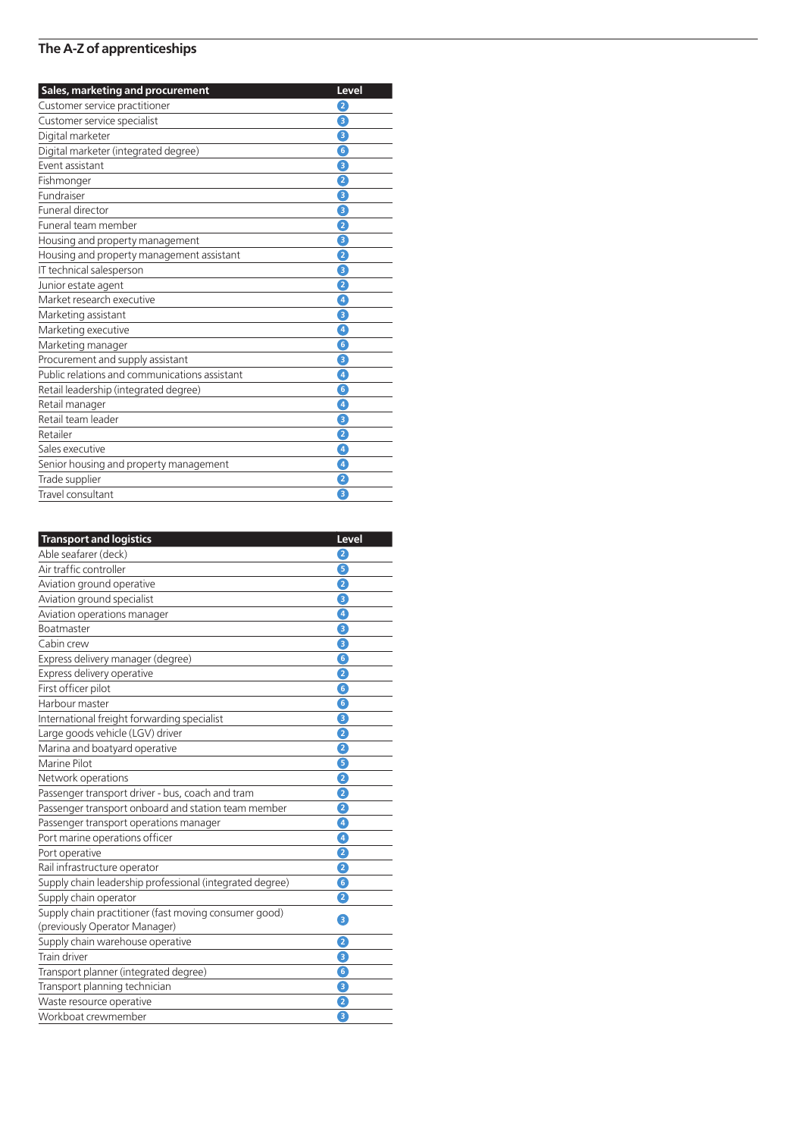| Sales, marketing and procurement              | Level               |
|-----------------------------------------------|---------------------|
| Customer service practitioner                 | 2                   |
| Customer service specialist                   | $\ddot{\mathbf{e}}$ |
| Digital marketer                              | 8                   |
| Digital marketer (integrated degree)          | $\boxed{6}$         |
| Event assistant                               | 0                   |
| Fishmonger                                    | 2                   |
| Fundraiser                                    | €                   |
| Funeral director                              | 8                   |
| Funeral team member                           | 2                   |
| Housing and property management               | Θ                   |
| Housing and property management assistant     | 2                   |
| IT technical salesperson                      | 8                   |
| Junior estate agent                           | 2                   |
| Market research executive                     | $\sqrt{4}$          |
| Marketing assistant                           | 8                   |
| Marketing executive                           | 0                   |
| Marketing manager                             | 6                   |
| Procurement and supply assistant              | 8                   |
| Public relations and communications assistant | 0                   |
| Retail leadership (integrated degree)         | $\boxed{6}$         |
| Retail manager                                | $\boxed{4}$         |
| Retail team leader                            | 8                   |
| Retailer                                      | 0                   |
| Sales executive                               | 4                   |
| Senior housing and property management        | 0                   |
| Trade supplier                                | 2                   |
| Travel consultant                             | 6                   |

| <b>Transport and logistics</b>                           | Level                   |
|----------------------------------------------------------|-------------------------|
| Able seafarer (deck)                                     | 2                       |
| Air traffic controller                                   | 6                       |
| Aviation ground operative                                | 2                       |
| Aviation ground specialist                               | Θ                       |
| Aviation operations manager                              | ◙                       |
| <b>Boatmaster</b>                                        | 8                       |
| Cabin crew                                               | Θ                       |
| Express delivery manager (degree)                        | 6                       |
| Express delivery operative                               | 2                       |
| First officer pilot                                      | 0                       |
| Harbour master                                           | $\overline{\mathbf{6}}$ |
| International freight forwarding specialist              | Θ                       |
| Large goods vehicle (LGV) driver                         | 2                       |
| Marina and boatyard operative                            | ġ                       |
| Marine Pilot                                             | ß                       |
| Network operations                                       | 2                       |
| Passenger transport driver - bus, coach and tram         | 2                       |
| Passenger transport onboard and station team member      | 2                       |
| Passenger transport operations manager                   | 4                       |
| Port marine operations officer                           | $\boxed{4}$             |
| Port operative                                           | 2                       |
| Rail infrastructure operator                             | 2                       |
| Supply chain leadership professional (integrated degree) | G                       |
| Supply chain operator                                    | 2                       |
| Supply chain practitioner (fast moving consumer good)    | 8                       |
| (previously Operator Manager)                            |                         |
| Supply chain warehouse operative                         | 2                       |
| <b>Train driver</b>                                      | 3                       |
| Transport planner (integrated degree)                    | 6                       |
| Transport planning technician                            | Θ                       |
| Waste resource operative                                 | 2                       |
| Workboat crewmember                                      | Θ                       |